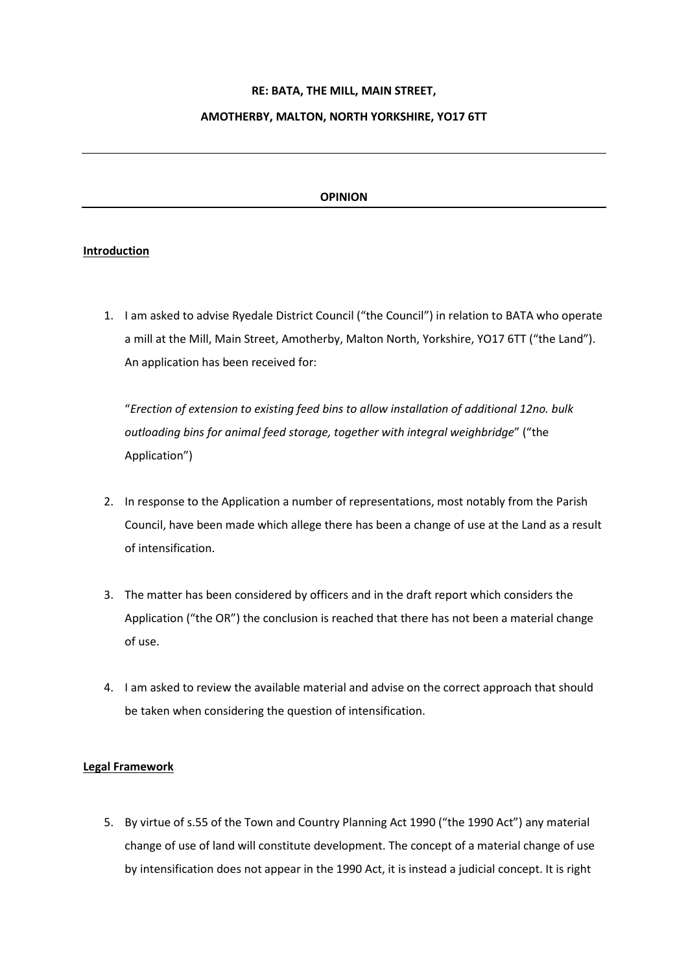## **RE: BATA, THE MILL, MAIN STREET,**

## **AMOTHERBY, MALTON, NORTH YORKSHIRE, YO17 6TT**

# **OPINION**

## **Introduction**

1. I am asked to advise Ryedale District Council ("the Council") in relation to BATA who operate a mill at the Mill, Main Street, Amotherby, Malton North, Yorkshire, YO17 6TT ("the Land"). An application has been received for:

"*Erection of extension to existing feed bins to allow installation of additional 12no. bulk outloading bins for animal feed storage, together with integral weighbridge*" ("the Application")

- 2. In response to the Application a number of representations, most notably from the Parish Council, have been made which allege there has been a change of use at the Land as a result of intensification.
- 3. The matter has been considered by officers and in the draft report which considers the Application ("the OR") the conclusion is reached that there has not been a material change of use.
- 4. I am asked to review the available material and advise on the correct approach that should be taken when considering the question of intensification.

## **Legal Framework**

5. By virtue of s.55 of the Town and Country Planning Act 1990 ("the 1990 Act") any material change of use of land will constitute development. The concept of a material change of use by intensification does not appear in the 1990 Act, it is instead a judicial concept. It is right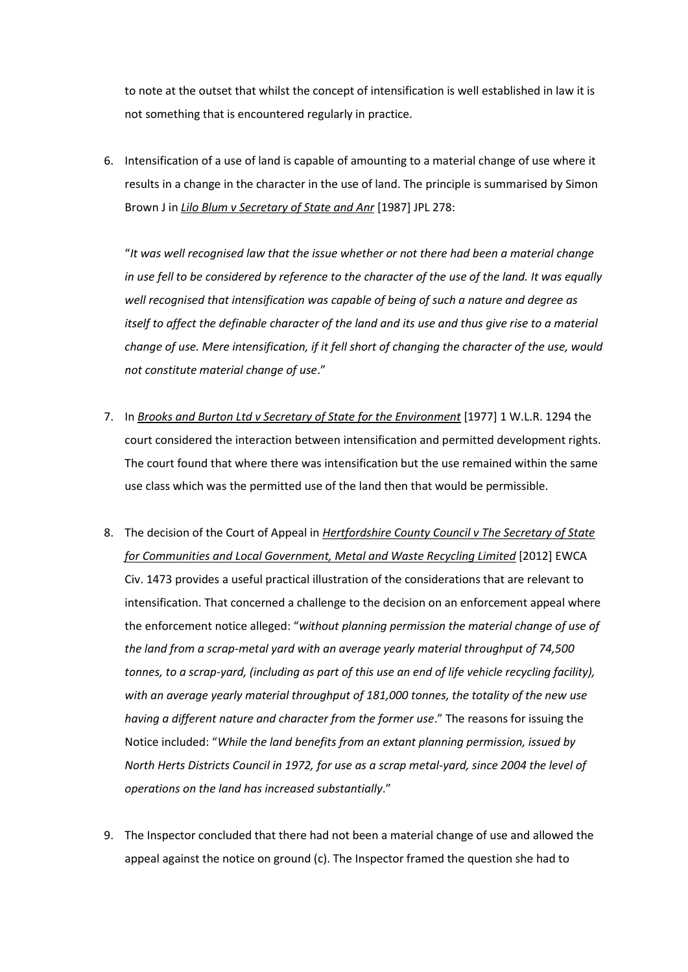to note at the outset that whilst the concept of intensification is well established in law it is not something that is encountered regularly in practice.

6. Intensification of a use of land is capable of amounting to a material change of use where it results in a change in the character in the use of land. The principle is summarised by Simon Brown J in *Lilo Blum v Secretary of State and Anr* [1987] JPL 278:

"*It was well recognised law that the issue whether or not there had been a material change in use fell to be considered by reference to the character of the use of the land. It was equally well recognised that intensification was capable of being of such a nature and degree as itself to affect the definable character of the land and its use and thus aive rise to a material change of use. Mere intensification, if it fell short of changing the character of the use, would not constitute material change of use*."

- 7. In *Brooks and Burton Ltd v Secretary of State for the Environment* [1977] 1 W.L.R. 1294 the court considered the interaction between intensification and permitted development rights. The court found that where there was intensification but the use remained within the same use class which was the permitted use of the land then that would be permissible.
- 8. The decision of the Court of Appeal in *Hertfordshire County Council v The Secretary of State for Communities and Local Government, Metal and Waste Recycling Limited* [2012] EWCA Civ. 1473 provides a useful practical illustration of the considerations that are relevant to intensification. That concerned a challenge to the decision on an enforcement appeal where the enforcement notice alleged: "*without planning permission the material change of use of the land from a scrap-metal yard with an average yearly material throughput of 74,500 tonnes, to a scrap-yard, (including as part of this use an end of life vehicle recycling facility), with an average yearly material throughput of 181,000 tonnes, the totality of the new use having a different nature and character from the former use*." The reasons for issuing the Notice included: "*While the land benefits from an extant planning permission, issued by North Herts Districts Council in 1972, for use as a scrap metal-yard, since 2004 the level of operations on the land has increased substantially*."
- 9. The Inspector concluded that there had not been a material change of use and allowed the appeal against the notice on ground (c). The Inspector framed the question she had to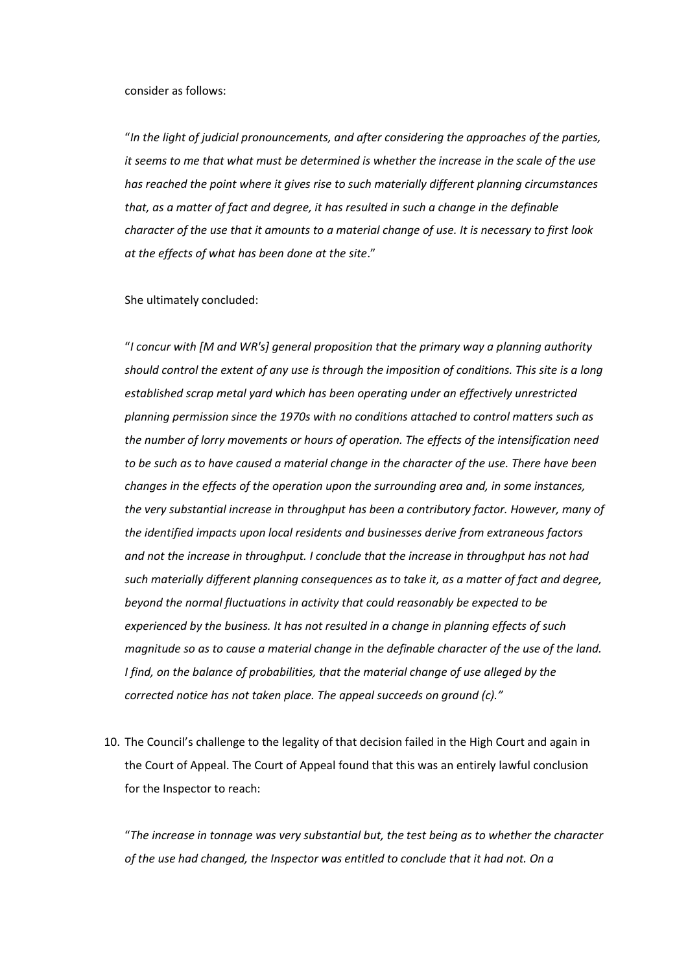#### consider as follows:

"*In the light of judicial pronouncements, and after considering the approaches of the parties, it seems to me that what must be determined is whether the increase in the scale of the use has reached the point where it gives rise to such materially different planning circumstances that, as a matter of fact and degree, it has resulted in such a change in the definable character of the use that it amounts to a material change of use. It is necessary to first look at the effects of what has been done at the site*."

#### She ultimately concluded:

"*I concur with [M and WR's] general proposition that the primary way a planning authority should control the extent of any use is through the imposition of conditions. This site is a long established scrap metal yard which has been operating under an effectively unrestricted planning permission since the 1970s with no conditions attached to control matters such as the number of lorry movements or hours of operation. The effects of the intensification need to be such as to have caused a material change in the character of the use. There have been changes in the effects of the operation upon the surrounding area and, in some instances, the very substantial increase in throughput has been a contributory factor. However, many of the identified impacts upon local residents and businesses derive from extraneous factors and not the increase in throughput. I conclude that the increase in throughput has not had such materially different planning consequences as to take it, as a matter of fact and degree, beyond the normal fluctuations in activity that could reasonably be expected to be experienced by the business. It has not resulted in a change in planning effects of such magnitude so as to cause a material change in the definable character of the use of the land. I find, on the balance of probabilities, that the material change of use alleged by the corrected notice has not taken place. The appeal succeeds on ground (c)."*

10. The Council's challenge to the legality of that decision failed in the High Court and again in the Court of Appeal. The Court of Appeal found that this was an entirely lawful conclusion for the Inspector to reach:

"*The increase in tonnage was very substantial but, the test being as to whether the character of the use had changed, the Inspector was entitled to conclude that it had not. On a*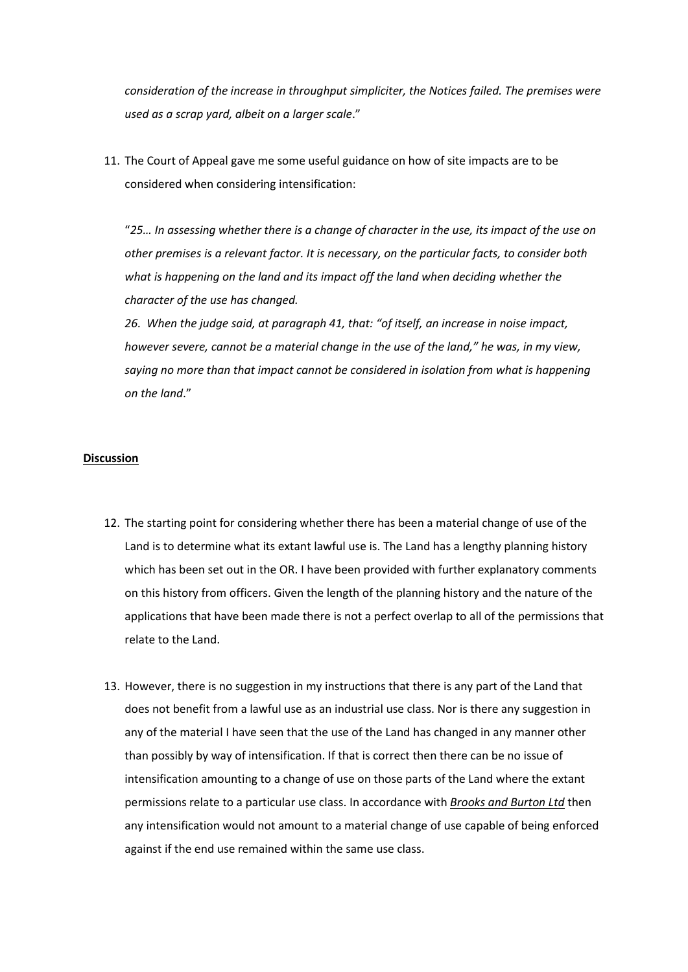*consideration of the increase in throughput simpliciter, the Notices failed. The premises were used as a scrap yard, albeit on a larger scale*."

11. The Court of Appeal gave me some useful guidance on how of site impacts are to be considered when considering intensification:

"*25… In assessing whether there is a change of character in the use, its impact of the use on other premises is a relevant factor. It is necessary, on the particular facts, to consider both what is happening on the land and its impact off the land when deciding whether the character of the use has changed.*

*26. When the judge said, at paragraph 41, that: "of itself, an increase in noise impact, however severe, cannot be a material change in the use of the land," he was, in my view, saying no more than that impact cannot be considered in isolation from what is happening on the land*."

## **Discussion**

- 12. The starting point for considering whether there has been a material change of use of the Land is to determine what its extant lawful use is. The Land has a lengthy planning history which has been set out in the OR. I have been provided with further explanatory comments on this history from officers. Given the length of the planning history and the nature of the applications that have been made there is not a perfect overlap to all of the permissions that relate to the Land.
- 13. However, there is no suggestion in my instructions that there is any part of the Land that does not benefit from a lawful use as an industrial use class. Nor is there any suggestion in any of the material I have seen that the use of the Land has changed in any manner other than possibly by way of intensification. If that is correct then there can be no issue of intensification amounting to a change of use on those parts of the Land where the extant permissions relate to a particular use class. In accordance with *Brooks and Burton Ltd* then any intensification would not amount to a material change of use capable of being enforced against if the end use remained within the same use class.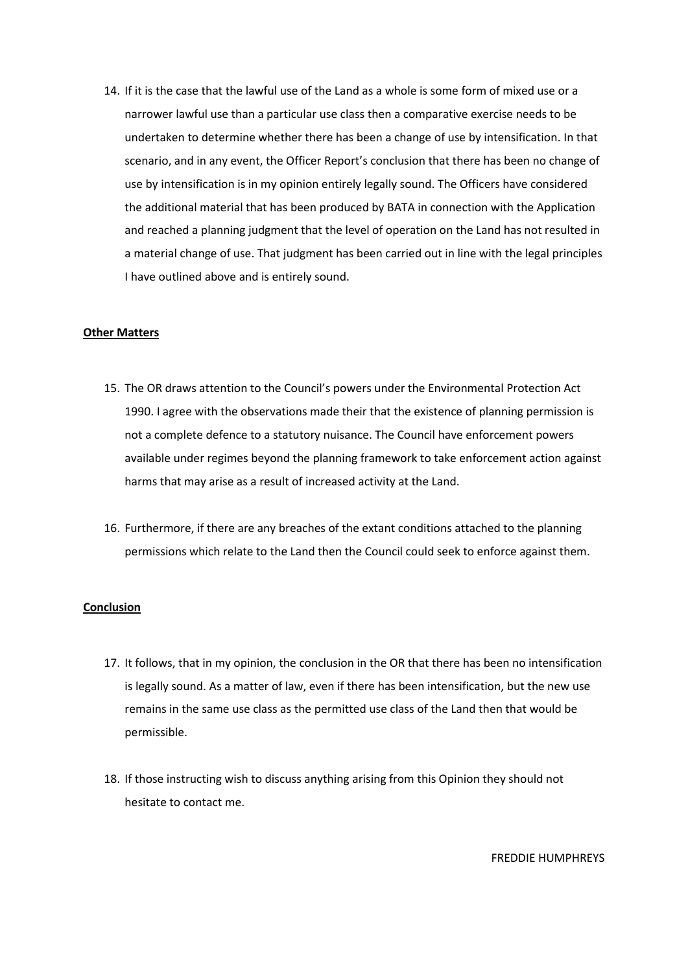14. If it is the case that the lawful use of the Land as a whole is some form of mixed use or a narrower lawful use than a particular use class then a comparative exercise needs to be undertaken to determine whether there has been a change of use by intensification. In that scenario, and in any event, the Officer Report's conclusion that there has been no change of use by intensification is in my opinion entirely legally sound. The Officers have considered the additional material that has been produced by BATA in connection with the Application and reached a planning judgment that the level of operation on the Land has not resulted in a material change of use. That judgment has been carried out in line with the legal principles I have outlined above and is entirely sound.

## **Other Matters**

- 15. The OR draws attention to the Council's powers under the Environmental Protection Act 1990. I agree with the observations made their that the existence of planning permission is not a complete defence to a statutory nuisance. The Council have enforcement powers available under regimes beyond the planning framework to take enforcement action against harms that may arise as a result of increased activity at the Land.
- 16. Furthermore, if there are any breaches of the extant conditions attached to the planning permissions which relate to the Land then the Council could seek to enforce against them.

## **Conclusion**

- 17. It follows, that in my opinion, the conclusion in the OR that there has been no intensification is legally sound. As a matter of law, even if there has been intensification, but the new use remains in the same use class as the permitted use class of the Land then that would be permissible.
- 18. If those instructing wish to discuss anything arising from this Opinion they should not hesitate to contact me.

FREDDIE HUMPHREYS